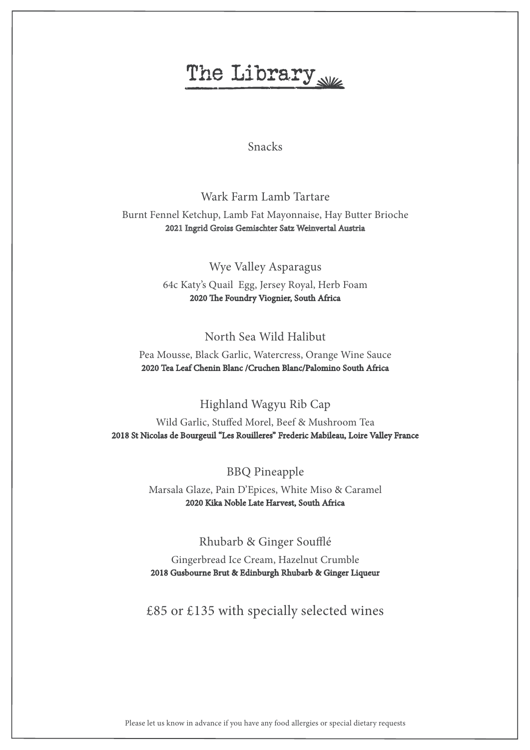# The Library

### Snacks

## Wark Farm Lamb Tartare Burnt Fennel Ketchup, Lamb Fat Mayonnaise, Hay Butter Brioche 2021 Ingrid Groiss Gemischter Satz Weinvertal Austria

Wye Valley Asparagus 64c Katy's Quail Egg, Jersey Royal, Herb Foam 2020 The Foundry Viognier, South Africa

### North Sea Wild Halibut

Pea Mousse, Black Garlic, Watercress, Orange Wine Sauce 2020 Tea Leaf Chenin Blanc /Cruchen Blanc/Palomino South Africa

Highland Wagyu Rib Cap

Wild Garlic, Stuffed Morel, Beef & Mushroom Tea 2018 St Nicolas de Bourgeuil "Les Rouilleres" Frederic Mabileau, Loire Valley France

BBQ Pineapple

Marsala Glaze, Pain D'Epices, White Miso & Caramel 2020 Kika Noble Late Harvest, South Africa

Rhubarb & Ginger Soufflé

Gingerbread Ice Cream, Hazelnut Crumble 2018 Gusbourne Brut & Edinburgh Rhubarb & Ginger Liqueur

£85 or £135 with specially selected wines

Please let us know in advance if you have any food allergies or special dietary requests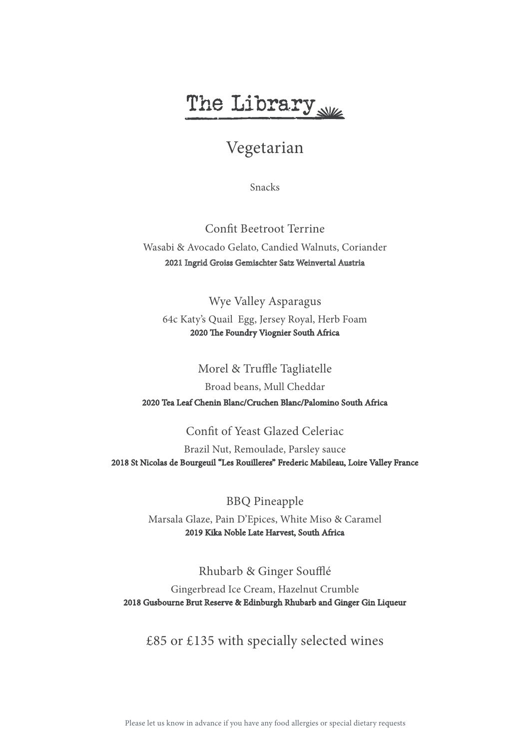# The Library

# Vegetarian

Snacks

Confit Beetroot Terrine Wasabi & Avocado Gelato, Candied Walnuts, Coriander 2021 Ingrid Groiss Gemischter Satz Weinvertal Austria

Wye Valley Asparagus

64c Katy's Quail Egg, Jersey Royal, Herb Foam 2020 The Foundry Viognier South Africa

#### Morel & Truffle Tagliatelle

Broad beans, Mull Cheddar 2020 Tea Leaf Chenin Blanc/Cruchen Blanc/Palomino South Africa

#### Confit of Yeast Glazed Celeriac

Brazil Nut, Remoulade, Parsley sauce 2018 St Nicolas de Bourgeuil "Les Rouilleres" Frederic Mabileau, Loire Valley France

BBQ Pineapple

Marsala Glaze, Pain D'Epices, White Miso & Caramel 2019 Kika Noble Late Harvest, South Africa

Rhubarb & Ginger Soufflé

Gingerbread Ice Cream, Hazelnut Crumble 2018 Gusbourne Brut Reserve & Edinburgh Rhubarb and Ginger Gin Liqueur

### £85 or £135 with specially selected wines

Please let us know in advance if you have any food allergies or special dietary requests